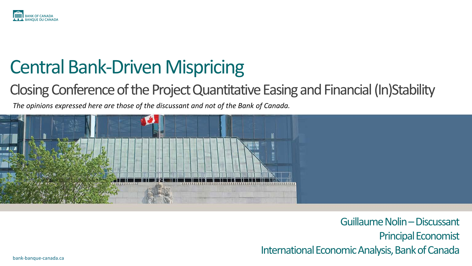

# Central Bank-Driven Mispricing

#### Closing Conference of the Project Quantitative Easing and Financial (In)Stability

*The opinions expressed here are those of the discussant and not of the Bank of Canada.* 



Guillaume Nolin –Discussant Principal Economist International Economic Analysis, Bank of Canada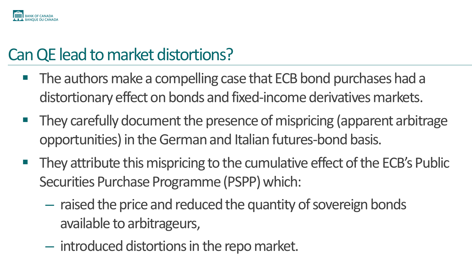

### Can QE lead to market distortions?

- $\blacksquare$  The authors make a compelling case that ECB bond purchases had a distortionary effect on bonds and fixed-income derivatives markets.
- $\blacksquare$  They carefully document the presence of mispricing (apparent arbitrage opportunities) in the German and Italian futures-bond basis.
- $\blacksquare$  They attribute this mispricing to the cumulative effect of the ECB's Public Securities Purchase Programme (PSPP) which:
	- raised the price and reduced the quantity of sovereign bonds available to arbitrageurs,
	- introduced distortions in the repo market.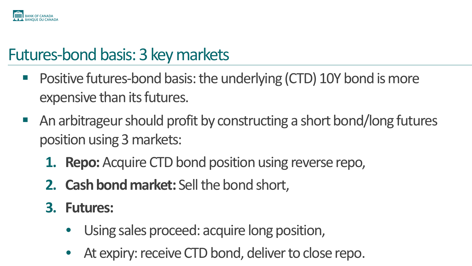

### Futures-bond basis: 3 key markets

- Positive futures-bond basis: the underlying (CTD) 10Y bond is more expensive than its futures.
- An arbitrageur should profit by constructing a short bond/long futures position using 3 markets:
	- **1. Repo:** Acquire CTD bond position using reverse repo,
	- 2. **Cash bond market:** Sell the bond short,
	- **3. Futures:** 
		- Using sales proceed: acquire long position,
		- At expiry: receive CTD bond, deliver to close repo.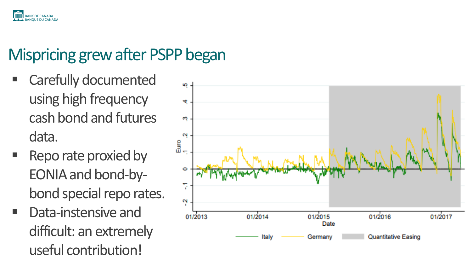

## Mispricing grew after PSPP began

- Carefully documented using high frequency cash bond and futures data.
- Repo rate proxied by EONIA and bond-bybond special repo rates.
- Data-instensive and difficult: an extremely useful contribution!

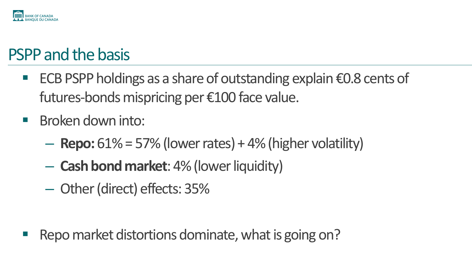

### PSPP and the basis

- ECB PSPP holdings as a share of outstanding explain €0.8 cents of futures-bonds mispricing per €100 face value.
- **Broken down into:** 
	- $-$  **Repo:**  $61\%$  = 57% (lower rates) + 4% (higher volatility)
	- **Cash bond market**: 4% (lowerliquidity)
	- Other(direct) effects: 35%

Repo market distortions dominate, what is going on?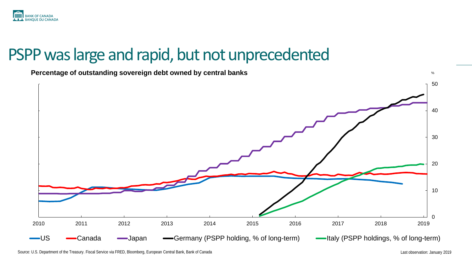

#### PSPP was large and rapid, but not unprecedented



Source: U.S. Department of the Treasury. Fiscal Service via FRED, Bloomberg, European Central Bank, Bank of Canada Last observation: January 2019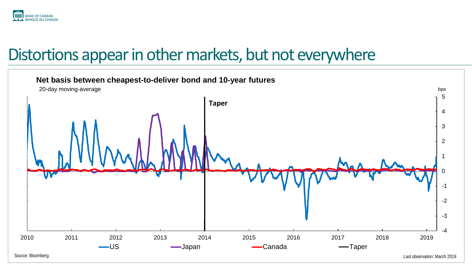

#### Distortions appear in other markets, but not everywhere

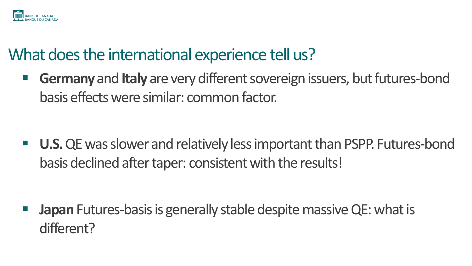

### What does the international experience tell us?

**Germany** and **Italy** are very different sovereign issuers, but futures-bond basis effects were similar: common factor.

■ U.S. QE was slower and relatively less important than PSPP. Futures-bond basis declined after taper: consistent with the results!

**Japan** Futures-basis is generally stable despite massive QE: what is different?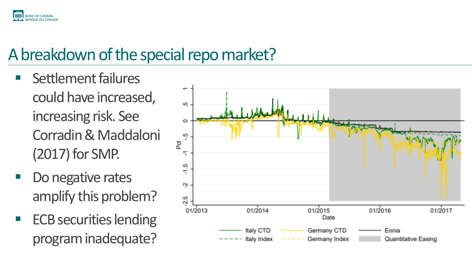

### A breakdown of the special repo market?

- Settlement failures could have increased, increasing risk. See Corradin& Maddaloni (2017) for SMP.
- Do negative rates amplify this problem?
- **ECB securities lending** program inadequate?